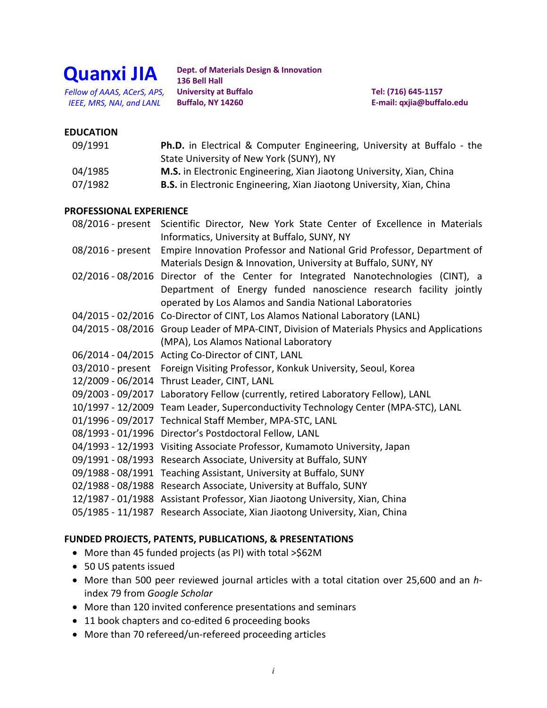

**Dept. of Materials Design & Innovation 136 Bell Hall University at Buffalo Buffalo, NY 14260**  *Fellow of AAAS, ACerS, APS,* **University at Buffalo Tel: (716) 645-1157**  *IEEE, MRS, NAI, and LANL* **Buffalo, NY 14260 E-mail: [qxjia@buffalo.edu](mailto:qxjia@buffalo.edu)** 

## **EDUCATION**

| 09/1991 | <b>Ph.D.</b> in Electrical & Computer Engineering, University at Buffalo - the |
|---------|--------------------------------------------------------------------------------|
|         | State University of New York (SUNY), NY                                        |
| 04/1985 | M.S. in Electronic Engineering, Xian Jiaotong University, Xian, China          |
| 07/1982 | <b>B.S.</b> in Electronic Engineering, Xian Jiaotong University, Xian, China   |

#### **PROFESSIONAL EXPERIENCE**

| 08/2016 - present Scientific Director, New York State Center of Excellence in Materials<br>Informatics, University at Buffalo, SUNY, NY |
|-----------------------------------------------------------------------------------------------------------------------------------------|
| 08/2016 - present Empire Innovation Professor and National Grid Professor, Department of                                                |
| Materials Design & Innovation, University at Buffalo, SUNY, NY                                                                          |
| 02/2016-08/2016 Director of the Center for Integrated Nanotechnologies (CINT), a                                                        |
| Department of Energy funded nanoscience research facility jointly                                                                       |
| operated by Los Alamos and Sandia National Laboratories                                                                                 |
| 04/2015 - 02/2016 Co-Director of CINT, Los Alamos National Laboratory (LANL)                                                            |
| 04/2015 - 08/2016 Group Leader of MPA-CINT, Division of Materials Physics and Applications                                              |
| (MPA), Los Alamos National Laboratory                                                                                                   |
| 06/2014 - 04/2015 Acting Co-Director of CINT, LANL                                                                                      |
| 03/2010 - present Foreign Visiting Professor, Konkuk University, Seoul, Korea                                                           |
| 12/2009 - 06/2014 Thrust Leader, CINT, LANL                                                                                             |
| 09/2003 - 09/2017 Laboratory Fellow (currently, retired Laboratory Fellow), LANL                                                        |
| 10/1997 - 12/2009 Team Leader, Superconductivity Technology Center (MPA-STC), LANL                                                      |
| 01/1996 - 09/2017 Technical Staff Member, MPA-STC, LANL                                                                                 |
| 08/1993 - 01/1996 Director's Postdoctoral Fellow, LANL                                                                                  |
| 04/1993 - 12/1993 Visiting Associate Professor, Kumamoto University, Japan                                                              |
| 09/1991 - 08/1993 Research Associate, University at Buffalo, SUNY                                                                       |
| 09/1988 - 08/1991 Teaching Assistant, University at Buffalo, SUNY                                                                       |
| 02/1988 - 08/1988 Research Associate, University at Buffalo, SUNY                                                                       |
| 12/1987 - 01/1988 Assistant Professor, Xian Jiaotong University, Xian, China                                                            |
| 05/1985 - 11/1987 Research Associate, Xian Jiaotong University, Xian, China                                                             |

### **FUNDED PROJECTS, PATENTS, PUBLICATIONS, & PRESENTATIONS**

- More than 45 funded projects (as PI) with total >\$62M
- 50 US patents issued
- • More than 500 peer reviewed journal articles with a total citation over 25,600 and an *h*index 79 from *Google Scholar*
- More than 120 invited conference presentations and seminars
- 11 book chapters and co-edited 6 proceeding books
- More than 70 refereed/un-refereed proceeding articles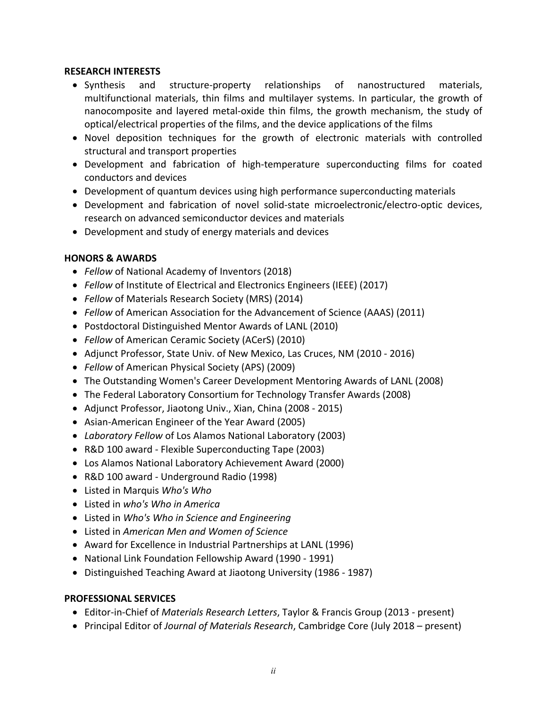#### **RESEARCH INTERESTS**

- Synthesis and structure-property relationships of nanostructured materials, multifunctional materials, thin films and multilayer systems. In particular, the growth of nanocomposite and layered metal-oxide thin films, the growth mechanism, the study of optical/electrical properties of the films, and the device applications of the films
- Novel deposition techniques for the growth of electronic materials with controlled structural and transport properties
- Development and fabrication of high-temperature superconducting films for coated conductors and devices
- Development of quantum devices using high performance superconducting materials
- Development and fabrication of novel solid-state microelectronic/electro-optic devices, research on advanced semiconductor devices and materials
- Development and study of energy materials and devices

# **HONORS & AWARDS**

- *Fellow* of National Academy of Inventors (2018)
- *Fellow* of Institute of Electrical and Electronics Engineers (IEEE) (2017)
- *Fellow* of Materials Research Society (MRS) (2014)
- *Fellow* of American Association for the Advancement of Science (AAAS) (2011)
- Postdoctoral Distinguished Mentor Awards of LANL (2010)
- *Fellow* of American Ceramic Society (ACerS) (2010)
- Adjunct Professor, State Univ. of New Mexico, Las Cruces, NM (2010 2016)
- *Fellow* of American Physical Society (APS) (2009)
- The Outstanding Women's Career Development Mentoring Awards of LANL (2008)
- The Federal Laboratory Consortium for Technology Transfer Awards (2008)
- Adjunct Professor, Jiaotong Univ., Xian, China (2008 2015)
- Asian-American Engineer of the Year Award (2005)
- *Laboratory Fellow* of Los Alamos National Laboratory (2003)
- R&D 100 award Flexible Superconducting Tape (2003)
- Los Alamos National Laboratory Achievement Award (2000)
- R&D 100 award Underground Radio (1998)
- Listed in Marquis *Who's Who*
- Listed in *who's Who in America*
- Listed in *Who's Who in Science and Engineering*
- Listed in *American Men and Women of Science*
- Award for Excellence in Industrial Partnerships at LANL (1996)
- National Link Foundation Fellowship Award (1990 1991)
- Distinguished Teaching Award at Jiaotong University (1986 1987)

# **PROFESSIONAL SERVICES**

- Editor-in-Chief of *Materials Research Letters*, Taylor & Francis Group (2013 present)
- Principal Editor of *Journal of Materials Research*, Cambridge Core (July 2018 present)